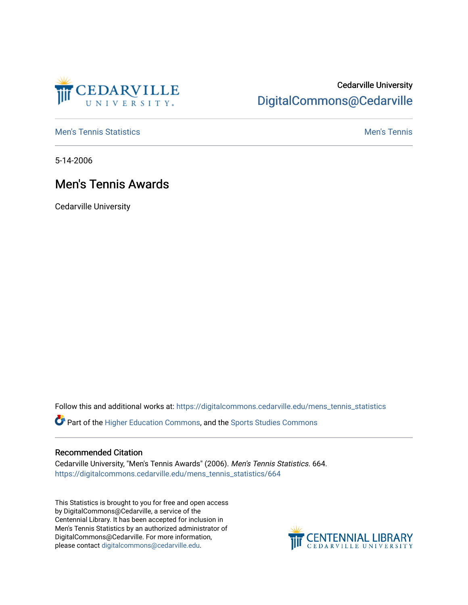

# Cedarville University [DigitalCommons@Cedarville](https://digitalcommons.cedarville.edu/)

**[Men's Tennis Statistics](https://digitalcommons.cedarville.edu/mens_tennis_statistics) Mental According to the Control of Control According Mental Men's Tennis** 

5-14-2006

# Men's Tennis Awards

Cedarville University

Follow this and additional works at: [https://digitalcommons.cedarville.edu/mens\\_tennis\\_statistics](https://digitalcommons.cedarville.edu/mens_tennis_statistics?utm_source=digitalcommons.cedarville.edu%2Fmens_tennis_statistics%2F664&utm_medium=PDF&utm_campaign=PDFCoverPages)

Part of the [Higher Education Commons,](http://network.bepress.com/hgg/discipline/1245?utm_source=digitalcommons.cedarville.edu%2Fmens_tennis_statistics%2F664&utm_medium=PDF&utm_campaign=PDFCoverPages) and the [Sports Studies Commons](http://network.bepress.com/hgg/discipline/1198?utm_source=digitalcommons.cedarville.edu%2Fmens_tennis_statistics%2F664&utm_medium=PDF&utm_campaign=PDFCoverPages) 

### Recommended Citation

Cedarville University, "Men's Tennis Awards" (2006). Men's Tennis Statistics. 664. [https://digitalcommons.cedarville.edu/mens\\_tennis\\_statistics/664](https://digitalcommons.cedarville.edu/mens_tennis_statistics/664?utm_source=digitalcommons.cedarville.edu%2Fmens_tennis_statistics%2F664&utm_medium=PDF&utm_campaign=PDFCoverPages) 

This Statistics is brought to you for free and open access by DigitalCommons@Cedarville, a service of the Centennial Library. It has been accepted for inclusion in Men's Tennis Statistics by an authorized administrator of DigitalCommons@Cedarville. For more information, please contact [digitalcommons@cedarville.edu](mailto:digitalcommons@cedarville.edu).

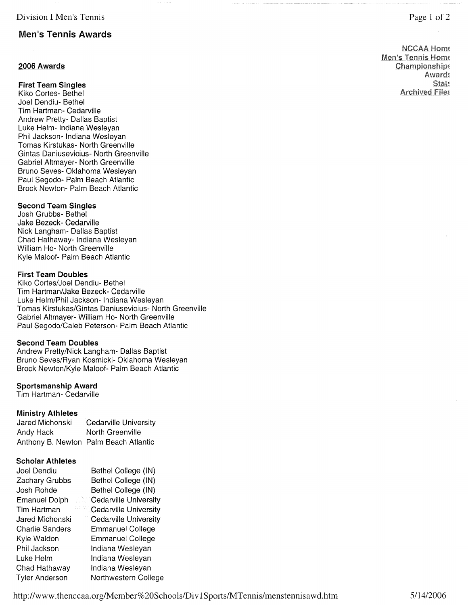## **Men's Tennis Awards**

### **2006 Awards**

**First Team Singles** 

Kiko Cortes- Bethel Joel Dendiu- Bethel Tim Hartman- Cedarville Andrew Pretty- Dallas Baptist Luke Helm- Indiana Wesleyan Phil Jackson- Indiana Wesleyan Tomas Kirstukas- North Greenville Gintas Daniusevicius- North Greenville Gabriel Altmayer- North Greenville Bruno Seves- Oklahoma Wesleyan Paul Segodo- Palm Beach Atlantic Brock Newton- Palm Beach Atlantic

### **Second Team Singles**

Josh Grubbs- Bethel Jake Bezeck- Cedarville Nick Langham- Dallas Baptist Chad Hathaway- Indiana Wesleyan William Ho- North Greenville Kyle Maloof- Palm Beach Atlantic

#### **First Team Doubles**

Kiko Cortes/Joel Dendiu- Bethel Tim Hartman/Jake Bezeck- Cedarville Luke Helm/Phil Jackson- Indiana Wesleyan Tomas Kirstukas/Gintas Daniusevicius- North Greenville Gabriel Altmayer- William Ho- North Greenville Paul Segodo/Caleb Peterson- Palm Beach Atlantic

#### **Second Team Doubles**

Andrew Pretty/Nick Langham- Dallas Baptist Bruno Seves/Ryan Kosmicki- Oklahoma Wesleyan Brock Newton/Kyle Maloof- Palm Beach Atlantic

#### **Sportsmanship Award**

Tim Hartman- Cedarville

#### **Ministry Athletes**

| Jared Michonski | <b>Cedarville University</b>          |
|-----------------|---------------------------------------|
| Andy Hack       | North Greenville                      |
|                 | Anthony B. Newton Palm Beach Atlantic |

#### **Scholar Athletes**

| Joel Dendiu            | Bethel College (IN)          |
|------------------------|------------------------------|
| Zachary Grubbs         | Bethel College (IN)          |
| Josh Rohde             | Bethel College (IN)          |
| <b>Emanuel Dolph</b>   | <b>Cedarville University</b> |
| Tim Hartman            | Cedarville University        |
| Jared Michonski        | <b>Cedarville University</b> |
| <b>Charlie Sanders</b> | <b>Emmanuel College</b>      |
| Kyle Waldon            | <b>Emmanuel College</b>      |
| Phil Jackson           | Indiana Wesleyan             |
| Luke Helm              | Indiana Wesleyan             |
| Chad Hathaway          | Indiana Wesleyan             |
| Tyler Anderson         | Northwestern College         |

**NCCAA Home Men's Tennis Home Championships Award! Stat~ Archived File!**